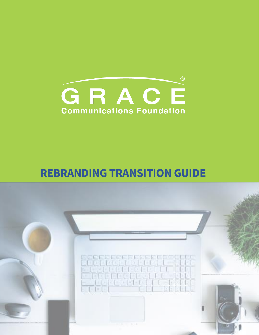

## **REBRANDING TRANSITION GUIDE**

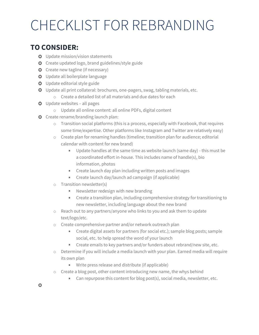## CHECKLIST FOR REBRANDING

## **TO CONSIDER:**

- **O** Update mission/vision statements
- **O** Create updated logo, brand guidelines/style guide
- **O** Create new tagline (if necessary)
- O Update all boilerplate language
- **O** Update editorial style guide
- Update all print collateral: brochures, one-pagers, swag, tabling materials, etc.
	- o Create a detailed list of all materials and due dates for each
- **O** Update websites all pages
	- o Update all online content: all online PDFs, digital content
- **O** Create rename/branding launch plan:
	- o Transition social platforms (this is a process, especially with Facebook, that requires some time/expertise. Other platforms like Instagram and Twitter are relatively easy)
	- o Create plan for renaming handles (timeline; transition plan for audience; editorial calendar with content for new brand)
		- Update handles at the same time as website launch (same day) this must be a coordinated effort in-house. This includes name of handle(s), bio information, photos
		- **EXECT** Create launch day plan including written posts and images
		- Create launch day/launch ad campaign (if applicable)
	- o Transition newsletter(s)
		- Newsletter redesign with new branding
		- **EXECT** Create a transition plan, including comprehensive strategy for transitioning to new newsletter, including language about the new brand
	- o Reach out to any partners/anyone who links to you and ask them to update text/logo/etc.
	- o Create comprehensive partner and/or network outreach plan
		- Create digital assets for partners (for social etc.); sample blog posts; sample ×, social, etc. to help spread the word of your launch
		- Create emails to key partners and/or funders about rebrand/new site, etc. u,
	- $\circ$  Determine if you will include a media launch with your plan. Earned media will require its own plan
		- **Write press release and distribute (if applicable)**
	- o Create a blog post, other content introducing new name, the whys behind
		- **Can repurpose this content for blog post(s), social media, newsletter, etc.**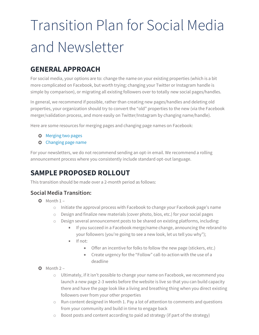# Transition Plan for Social Media and Newsletter

## **GENERAL APPROACH**

For social media, your options are to: change the name on your existing properties (which is a bit more complicated on Facebook, but worth trying; changing your Twitter or Instagram handle is simple by comparison), or migrating all existing followers over to totally new social pages/handles.

In general, we recommend if possible, rather than creating new pages/handles and deleting old properties, your organization should try to convert the "old" properties to the new (via the Facebook merger/validation process, and more easily on Twitter/Instagram by changing name/handle).

Here are some resources for merging pages and changing page names on Facebook:

- **O** [Merging two pages](https://www.facebook.com/help/249601088403018)
- **O** [Changing page name](https://www.facebook.com/help/271607792873806)

For your newsletters, we do not recommend sending an opt-in email. We recommend a rolling announcement process where you consistently include standard opt-out language.

## **SAMPLE PROPOSED ROLLOUT**

This transition should be made over a 2-month period as follows:

#### **Social Media Transition:**

- $O$  Month  $1$ 
	- o Initiate the approval process with Facebook to change your Facebook page's name
	- o Design and finalize new materials (cover photo, bios, etc.) for your social pages
	- o Design several announcement posts to be shared on existing platforms, including:
		- If you succeed in a Facebook merge/name change, announcing the rebrand to your followers (you're going to see a new look, let us tell you why");
		- $I$  If not:
			- Offer an incentive for folks to follow the new page (stickers, etc.)
			- Create urgency for the "Follow" call-to-action with the use of a deadline
- $O$  Month  $2$ 
	- o Ultimately, if it isn't possible to change your name on Facebook, we recommend you launch a new page 2-3 weeks before the website is live so that you can build capacity there and have the page look like a living and breathing thing when you direct existing followers over from your other properties
	- $\circ$  Run content designed in Month 1. Pay a lot of attention to comments and questions from your community and build in time to engage back
	- o Boost posts and content according to paid ad strategy (if part of the strategy)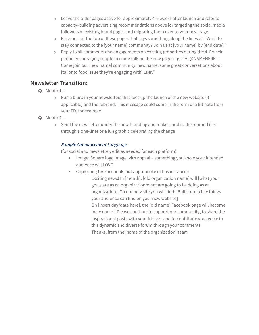- o Leave the older pages active for approximately 4-6 weeks after launch and refer to capacity-building advertising recommendations above for targeting the social media followers of existing brand pages and migrating them over to your new page
- o Pin a post at the top of these pages that says something along the lines of: "Want to stay connected to the [your name] community? Join us at [your name] by [end date]."
- $\circ$  Reply to all comments and engagements on existing properties during the 4-6 week period encouraging people to come talk on the new page: e.g.: "HI @NAMEHERE – Come join our [new name] community: new name, some great conversations about [tailor to food issue they're engaging with] LINK"

#### **Newsletter Transition:**

- $O$  Month  $1$ 
	- o Run a blurb in your newsletters that tees up the launch of the new website (if applicable) and the rebrand. This message could come in the form of a lift note from your ED, for example
- $O$  Month  $2$ 
	- o Send the newsletter under the new branding and make a nod to the rebrand (i.e.: through a one-liner or a fun graphic celebrating the change

#### **Sample Announcement Language**

(for social and newsletter; edit as needed for each platform)

- **IFMage: Square logo image with appeal something you know your intended** audience will LOVE
- Copy (long for Facebook, but appropriate in this instance):

Exciting news! In [month], [old organization name] will [what your goals are as an organization/what are going to be doing as an organization]. On our new site you will find: [Bullet out a few things your audience can find on your new website] On [insert day/date here], the [old name] Facebook page will become [new name]! Please continue to support our community, to share the inspirational posts with your friends, and to contribute your voice to this dynamic and diverse forum through your comments.

Thanks, from the [name of the organization] team